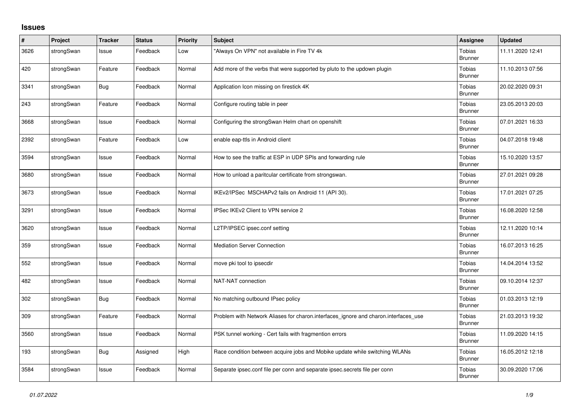## **Issues**

| $\#$ | Project    | <b>Tracker</b> | <b>Status</b> | Priority | <b>Subject</b>                                                                      | <b>Assignee</b>                 | <b>Updated</b>   |
|------|------------|----------------|---------------|----------|-------------------------------------------------------------------------------------|---------------------------------|------------------|
| 3626 | strongSwan | Issue          | Feedback      | Low      | 'Always On VPN" not available in Fire TV 4k                                         | Tobias<br><b>Brunner</b>        | 11.11.2020 12:41 |
| 420  | strongSwan | Feature        | Feedback      | Normal   | Add more of the verbs that were supported by pluto to the updown plugin             | Tobias<br><b>Brunner</b>        | 11.10.2013 07:56 |
| 3341 | strongSwan | <b>Bug</b>     | Feedback      | Normal   | Application Icon missing on firestick 4K                                            | <b>Tobias</b><br><b>Brunner</b> | 20.02.2020 09:31 |
| 243  | strongSwan | Feature        | Feedback      | Normal   | Configure routing table in peer                                                     | <b>Tobias</b><br><b>Brunner</b> | 23.05.2013 20:03 |
| 3668 | strongSwan | Issue          | Feedback      | Normal   | Configuring the strongSwan Helm chart on openshift                                  | <b>Tobias</b><br><b>Brunner</b> | 07.01.2021 16:33 |
| 2392 | strongSwan | Feature        | Feedback      | Low      | enable eap-ttls in Android client                                                   | <b>Tobias</b><br><b>Brunner</b> | 04.07.2018 19:48 |
| 3594 | strongSwan | Issue          | Feedback      | Normal   | How to see the traffic at ESP in UDP SPIs and forwarding rule                       | <b>Tobias</b><br><b>Brunner</b> | 15.10.2020 13:57 |
| 3680 | strongSwan | Issue          | Feedback      | Normal   | How to unload a paritcular certificate from strongswan.                             | <b>Tobias</b><br><b>Brunner</b> | 27.01.2021 09:28 |
| 3673 | strongSwan | Issue          | Feedback      | Normal   | IKEv2/IPSec MSCHAPv2 fails on Android 11 (API 30).                                  | <b>Tobias</b><br><b>Brunner</b> | 17.01.2021 07:25 |
| 3291 | strongSwan | Issue          | Feedback      | Normal   | IPSec IKEv2 Client to VPN service 2                                                 | <b>Tobias</b><br><b>Brunner</b> | 16.08.2020 12:58 |
| 3620 | strongSwan | Issue          | Feedback      | Normal   | L2TP/IPSEC ipsec.conf setting                                                       | <b>Tobias</b><br>Brunner        | 12.11.2020 10:14 |
| 359  | strongSwan | Issue          | Feedback      | Normal   | <b>Mediation Server Connection</b>                                                  | Tobias<br>Brunner               | 16.07.2013 16:25 |
| 552  | strongSwan | Issue          | Feedback      | Normal   | move pki tool to ipsecdir                                                           | <b>Tobias</b><br><b>Brunner</b> | 14.04.2014 13:52 |
| 482  | strongSwan | Issue          | Feedback      | Normal   | NAT-NAT connection                                                                  | Tobias<br><b>Brunner</b>        | 09.10.2014 12:37 |
| 302  | strongSwan | Bug            | Feedback      | Normal   | No matching outbound IPsec policy                                                   | Tobias<br><b>Brunner</b>        | 01.03.2013 12:19 |
| 309  | strongSwan | Feature        | Feedback      | Normal   | Problem with Network Aliases for charon.interfaces_ignore and charon.interfaces_use | <b>Tobias</b><br><b>Brunner</b> | 21.03.2013 19:32 |
| 3560 | strongSwan | Issue          | Feedback      | Normal   | PSK tunnel working - Cert fails with fragmention errors                             | <b>Tobias</b><br><b>Brunner</b> | 11.09.2020 14:15 |
| 193  | strongSwan | Bug            | Assigned      | High     | Race condition between acquire jobs and Mobike update while switching WLANs         | <b>Tobias</b><br><b>Brunner</b> | 16.05.2012 12:18 |
| 3584 | strongSwan | Issue          | Feedback      | Normal   | Separate ipsec.conf file per conn and separate ipsec.secrets file per conn          | Tobias<br><b>Brunner</b>        | 30.09.2020 17:06 |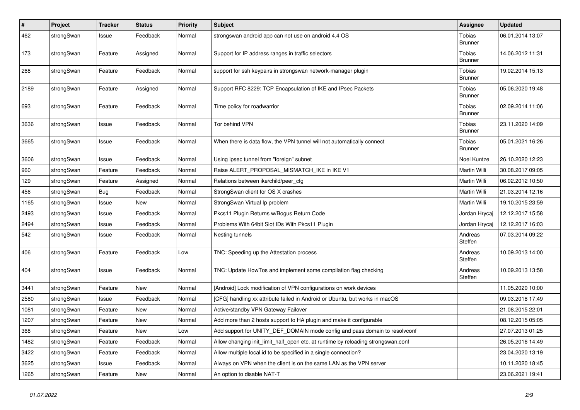| $\vert$ # | Project    | <b>Tracker</b> | <b>Status</b> | <b>Priority</b> | <b>Subject</b>                                                                   | <b>Assignee</b>                 | <b>Updated</b>   |
|-----------|------------|----------------|---------------|-----------------|----------------------------------------------------------------------------------|---------------------------------|------------------|
| 462       | strongSwan | Issue          | Feedback      | Normal          | strongswan android app can not use on android 4.4 OS                             | <b>Tobias</b><br><b>Brunner</b> | 06.01.2014 13:07 |
| 173       | strongSwan | Feature        | Assigned      | Normal          | Support for IP address ranges in traffic selectors                               | Tobias<br><b>Brunner</b>        | 14.06.2012 11:31 |
| 268       | strongSwan | Feature        | Feedback      | Normal          | support for ssh keypairs in strongswan network-manager plugin                    | Tobias<br><b>Brunner</b>        | 19.02.2014 15:13 |
| 2189      | strongSwan | Feature        | Assigned      | Normal          | Support RFC 8229: TCP Encapsulation of IKE and IPsec Packets                     | <b>Tobias</b><br><b>Brunner</b> | 05.06.2020 19:48 |
| 693       | strongSwan | Feature        | Feedback      | Normal          | Time policy for roadwarrior                                                      | Tobias<br><b>Brunner</b>        | 02.09.2014 11:06 |
| 3636      | strongSwan | Issue          | Feedback      | Normal          | Tor behind VPN                                                                   | <b>Tobias</b><br><b>Brunner</b> | 23.11.2020 14:09 |
| 3665      | strongSwan | Issue          | Feedback      | Normal          | When there is data flow, the VPN tunnel will not automatically connect           | Tobias<br><b>Brunner</b>        | 05.01.2021 16:26 |
| 3606      | strongSwan | Issue          | Feedback      | Normal          | Using ipsec tunnel from "foreign" subnet                                         | Noel Kuntze                     | 26.10.2020 12:23 |
| 960       | strongSwan | Feature        | Feedback      | Normal          | Raise ALERT_PROPOSAL_MISMATCH_IKE in IKE V1                                      | Martin Willi                    | 30.08.2017 09:05 |
| 129       | strongSwan | Feature        | Assigned      | Normal          | Relations between ike/child/peer_cfg                                             | Martin Willi                    | 06.02.2012 10:50 |
| 456       | strongSwan | <b>Bug</b>     | Feedback      | Normal          | StrongSwan client for OS X crashes                                               | Martin Willi                    | 21.03.2014 12:16 |
| 1165      | strongSwan | Issue          | New           | Normal          | StrongSwan Virtual Ip problem                                                    | Martin Willi                    | 19.10.2015 23:59 |
| 2493      | strongSwan | Issue          | Feedback      | Normal          | Pkcs11 Plugin Returns w/Bogus Return Code                                        | Jordan Hrycaj                   | 12.12.2017 15:58 |
| 2494      | strongSwan | Issue          | Feedback      | Normal          | Problems With 64bit Slot IDs With Pkcs11 Plugin                                  | Jordan Hrycaj                   | 12.12.2017 16:03 |
| 542       | strongSwan | Issue          | Feedback      | Normal          | Nesting tunnels                                                                  | Andreas<br>Steffen              | 07.03.2014 09:22 |
| 406       | strongSwan | Feature        | Feedback      | Low             | TNC: Speeding up the Attestation process                                         | Andreas<br>Steffen              | 10.09.2013 14:00 |
| 404       | strongSwan | Issue          | Feedback      | Normal          | TNC: Update HowTos and implement some compilation flag checking                  | Andreas<br>Steffen              | 10.09.2013 13:58 |
| 3441      | strongSwan | Feature        | <b>New</b>    | Normal          | [Android] Lock modification of VPN configurations on work devices                |                                 | 11.05.2020 10:00 |
| 2580      | strongSwan | Issue          | Feedback      | Normal          | [CFG] handling xx attribute failed in Android or Ubuntu, but works in macOS      |                                 | 09.03.2018 17:49 |
| 1081      | strongSwan | Feature        | <b>New</b>    | Normal          | Active/standby VPN Gateway Failover                                              |                                 | 21.08.2015 22:01 |
| 1207      | strongSwan | Feature        | <b>New</b>    | Normal          | Add more than 2 hosts support to HA plugin and make it configurable              |                                 | 08.12.2015 05:05 |
| 368       | strongSwan | Feature        | <b>New</b>    | Low             | Add support for UNITY DEF DOMAIN mode config and pass domain to resolveonf       |                                 | 27.07.2013 01:25 |
| 1482      | strongSwan | Feature        | Feedback      | Normal          | Allow changing init_limit_half_open etc. at runtime by reloading strongswan.conf |                                 | 26.05.2016 14:49 |
| 3422      | strongSwan | Feature        | Feedback      | Normal          | Allow multiple local id to be specified in a single connection?                  |                                 | 23.04.2020 13:19 |
| 3625      | strongSwan | Issue          | Feedback      | Normal          | Always on VPN when the client is on the same LAN as the VPN server               |                                 | 10.11.2020 18:45 |
| 1265      | strongSwan | Feature        | New           | Normal          | An option to disable NAT-T                                                       |                                 | 23.06.2021 19:41 |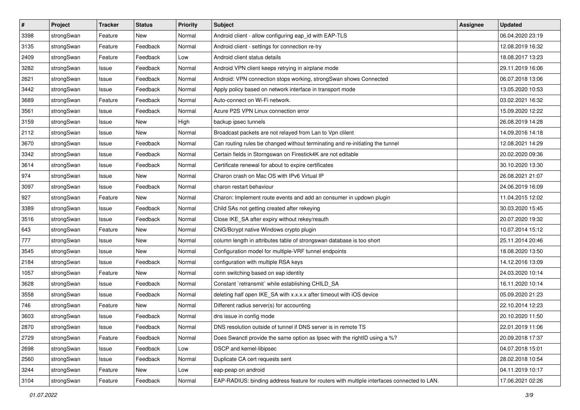| $\pmb{\#}$ | Project    | <b>Tracker</b> | <b>Status</b> | <b>Priority</b> | <b>Subject</b>                                                                             | Assignee | <b>Updated</b>   |
|------------|------------|----------------|---------------|-----------------|--------------------------------------------------------------------------------------------|----------|------------------|
| 3398       | strongSwan | Feature        | New           | Normal          | Android client - allow configuring eap_id with EAP-TLS                                     |          | 06.04.2020 23:19 |
| 3135       | strongSwan | Feature        | Feedback      | Normal          | Android client - settings for connection re-try                                            |          | 12.08.2019 16:32 |
| 2409       | strongSwan | Feature        | Feedback      | Low             | Android client status details                                                              |          | 18.08.2017 13:23 |
| 3282       | strongSwan | Issue          | Feedback      | Normal          | Android VPN client keeps retrying in airplane mode                                         |          | 29.11.2019 16:06 |
| 2621       | strongSwan | Issue          | Feedback      | Normal          | Android: VPN connection stops working, strongSwan shows Connected                          |          | 06.07.2018 13:06 |
| 3442       | strongSwan | Issue          | Feedback      | Normal          | Apply policy based on network interface in transport mode                                  |          | 13.05.2020 10:53 |
| 3689       | strongSwan | Feature        | Feedback      | Normal          | Auto-connect on Wi-Fi network.                                                             |          | 03.02.2021 16:32 |
| 3561       | strongSwan | Issue          | Feedback      | Normal          | Azure P2S VPN Linux connection error                                                       |          | 15.09.2020 12:22 |
| 3159       | strongSwan | Issue          | New           | High            | backup ipsec tunnels                                                                       |          | 26.08.2019 14:28 |
| 2112       | strongSwan | Issue          | New           | Normal          | Broadcast packets are not relayed from Lan to Vpn clilent                                  |          | 14.09.2016 14:18 |
| 3670       | strongSwan | Issue          | Feedback      | Normal          | Can routing rules be changed without terminating and re-initiating the tunnel              |          | 12.08.2021 14:29 |
| 3342       | strongSwan | Issue          | Feedback      | Normal          | Certain fields in Storngswan on Firestick4K are not editable                               |          | 20.02.2020 09:36 |
| 3614       | strongSwan | Issue          | Feedback      | Normal          | Certificate renewal for about to expire certificates                                       |          | 30.10.2020 13:30 |
| 974        | strongSwan | Issue          | New           | Normal          | Charon crash on Mac OS with IPv6 Virtual IP                                                |          | 26.08.2021 21:07 |
| 3097       | strongSwan | Issue          | Feedback      | Normal          | charon restart behaviour                                                                   |          | 24.06.2019 16:09 |
| 927        | strongSwan | Feature        | New           | Normal          | Charon: Implement route events and add an consumer in updown plugin                        |          | 11.04.2015 12:02 |
| 3389       | strongSwan | Issue          | Feedback      | Normal          | Child SAs not getting created after rekeying                                               |          | 30.03.2020 15:45 |
| 3516       | strongSwan | Issue          | Feedback      | Normal          | Close IKE_SA after expiry without rekey/reauth                                             |          | 20.07.2020 19:32 |
| 643        | strongSwan | Feature        | New           | Normal          | CNG/Bcrypt native Windows crypto plugin                                                    |          | 10.07.2014 15:12 |
| 777        | strongSwan | Issue          | New           | Normal          | column length in attributes table of strongswan database is too short                      |          | 25.11.2014 20:46 |
| 3545       | strongSwan | Issue          | New           | Normal          | Configuration model for multiple-VRF tunnel endpoints                                      |          | 18.08.2020 13:50 |
| 2184       | strongSwan | Issue          | Feedback      | Normal          | configuration with multiple RSA keys                                                       |          | 14.12.2016 13:09 |
| 1057       | strongSwan | Feature        | New           | Normal          | conn switching based on eap identity                                                       |          | 24.03.2020 10:14 |
| 3628       | strongSwan | Issue          | Feedback      | Normal          | Constant `retransmit` while establishing CHILD_SA                                          |          | 16.11.2020 10:14 |
| 3558       | strongSwan | Issue          | Feedback      | Normal          | deleting half open IKE_SA with x.x.x.x after timeout with iOS device                       |          | 05.09.2020 21:23 |
| 746        | strongSwan | Feature        | New           | Normal          | Different radius server(s) for accounting                                                  |          | 22.10.2014 12:23 |
| 3603       | strongSwan | Issue          | Feedback      | Normal          | dns issue in config mode                                                                   |          | 20.10.2020 11:50 |
| 2870       | strongSwan | Issue          | Feedback      | Normal          | DNS resolution outside of tunnel if DNS server is in remote TS                             |          | 22.01.2019 11:06 |
| 2729       | strongSwan | Feature        | Feedback      | Normal          | Does Swanctl provide the same option as Ipsec with the rightID using a %?                  |          | 20.09.2018 17:37 |
| 2698       | strongSwan | Issue          | Feedback      | Low             | DSCP and kernel-libipsec                                                                   |          | 04.07.2018 15:01 |
| 2560       | strongSwan | Issue          | Feedback      | Normal          | Duplicate CA cert requests sent                                                            |          | 28.02.2018 10:54 |
| 3244       | strongSwan | Feature        | New           | Low             | eap-peap on android                                                                        |          | 04.11.2019 10:17 |
| 3104       | strongSwan | Feature        | Feedback      | Normal          | EAP-RADIUS: binding address feature for routers with multiple interfaces connected to LAN. |          | 17.06.2021 02:26 |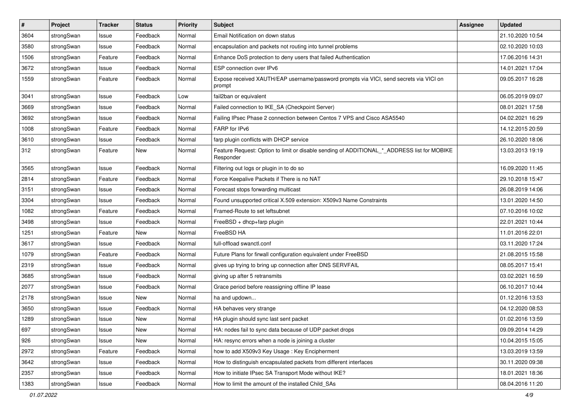| $\sharp$ | Project    | <b>Tracker</b> | <b>Status</b> | <b>Priority</b> | <b>Subject</b>                                                                                           | <b>Assignee</b> | <b>Updated</b>   |
|----------|------------|----------------|---------------|-----------------|----------------------------------------------------------------------------------------------------------|-----------------|------------------|
| 3604     | strongSwan | Issue          | Feedback      | Normal          | Email Notification on down status                                                                        |                 | 21.10.2020 10:54 |
| 3580     | strongSwan | Issue          | Feedback      | Normal          | encapsulation and packets not routing into tunnel problems                                               |                 | 02.10.2020 10:03 |
| 1506     | strongSwan | Feature        | Feedback      | Normal          | Enhance DoS protection to deny users that failed Authentication                                          |                 | 17.06.2016 14:31 |
| 3672     | strongSwan | Issue          | Feedback      | Normal          | ESP connection over IPv6                                                                                 |                 | 14.01.2021 17:04 |
| 1559     | strongSwan | Feature        | Feedback      | Normal          | Expose received XAUTH/EAP username/password prompts via VICI, send secrets via VICI on<br>prompt         |                 | 09.05.2017 16:28 |
| 3041     | strongSwan | Issue          | Feedback      | Low             | fail2ban or equivalent                                                                                   |                 | 06.05.2019 09:07 |
| 3669     | strongSwan | Issue          | Feedback      | Normal          | Failed connection to IKE_SA (Checkpoint Server)                                                          |                 | 08.01.2021 17:58 |
| 3692     | strongSwan | Issue          | Feedback      | Normal          | Failing IPsec Phase 2 connection between Centos 7 VPS and Cisco ASA5540                                  |                 | 04.02.2021 16:29 |
| 1008     | strongSwan | Feature        | Feedback      | Normal          | FARP for IPv6                                                                                            |                 | 14.12.2015 20:59 |
| 3610     | strongSwan | Issue          | Feedback      | Normal          | farp plugin conflicts with DHCP service                                                                  |                 | 26.10.2020 18:06 |
| 312      | strongSwan | Feature        | New           | Normal          | Feature Request: Option to limit or disable sending of ADDITIONAL_*_ADDRESS list for MOBIKE<br>Responder |                 | 13.03.2013 19:19 |
| 3565     | strongSwan | Issue          | Feedback      | Normal          | Filtering out logs or plugin in to do so                                                                 |                 | 16.09.2020 11:45 |
| 2814     | strongSwan | Feature        | Feedback      | Normal          | Force Keepalive Packets if There is no NAT                                                               |                 | 29.10.2018 15:47 |
| 3151     | strongSwan | Issue          | Feedback      | Normal          | Forecast stops forwarding multicast                                                                      |                 | 26.08.2019 14:06 |
| 3304     | strongSwan | Issue          | Feedback      | Normal          | Found unsupported critical X.509 extension: X509v3 Name Constraints                                      |                 | 13.01.2020 14:50 |
| 1082     | strongSwan | Feature        | Feedback      | Normal          | Framed-Route to set leftsubnet                                                                           |                 | 07.10.2016 10:02 |
| 3498     | strongSwan | Issue          | Feedback      | Normal          | FreeBSD + dhcp+farp plugin                                                                               |                 | 22.01.2021 10:44 |
| 1251     | strongSwan | Feature        | New           | Normal          | FreeBSD HA                                                                                               |                 | 11.01.2016 22:01 |
| 3617     | strongSwan | Issue          | Feedback      | Normal          | full-offload swanctl.conf                                                                                |                 | 03.11.2020 17:24 |
| 1079     | strongSwan | Feature        | Feedback      | Normal          | Future Plans for firwall configuration equivalent under FreeBSD                                          |                 | 21.08.2015 15:58 |
| 2319     | strongSwan | Issue          | Feedback      | Normal          | gives up trying to bring up connection after DNS SERVFAIL                                                |                 | 08.05.2017 15:41 |
| 3685     | strongSwan | Issue          | Feedback      | Normal          | giving up after 5 retransmits                                                                            |                 | 03.02.2021 16:59 |
| 2077     | strongSwan | Issue          | Feedback      | Normal          | Grace period before reassigning offline IP lease                                                         |                 | 06.10.2017 10:44 |
| 2178     | strongSwan | Issue          | <b>New</b>    | Normal          | ha and updown                                                                                            |                 | 01.12.2016 13:53 |
| 3650     | strongSwan | Issue          | Feedback      | Normal          | HA behaves very strange                                                                                  |                 | 04.12.2020 08:53 |
| 1289     | strongSwan | Issue          | <b>New</b>    | Normal          | HA plugin should sync last sent packet                                                                   |                 | 01.02.2016 13:59 |
| 697      | strongSwan | Issue          | New           | Normal          | HA: nodes fail to sync data because of UDP packet drops                                                  |                 | 09.09.2014 14:29 |
| 926      | strongSwan | Issue          | New           | Normal          | HA: resync errors when a node is joining a cluster                                                       |                 | 10.04.2015 15:05 |
| 2972     | strongSwan | Feature        | Feedback      | Normal          | how to add X509v3 Key Usage: Key Encipherment                                                            |                 | 13.03.2019 13:59 |
| 3642     | strongSwan | Issue          | Feedback      | Normal          | How to distinguish encapsulated packets from different interfaces                                        |                 | 30.11.2020 09:38 |
| 2357     | strongSwan | Issue          | Feedback      | Normal          | How to initiate IPsec SA Transport Mode without IKE?                                                     |                 | 18.01.2021 18:36 |
| 1383     | strongSwan | Issue          | Feedback      | Normal          | How to limit the amount of the installed Child_SAs                                                       |                 | 08.04.2016 11:20 |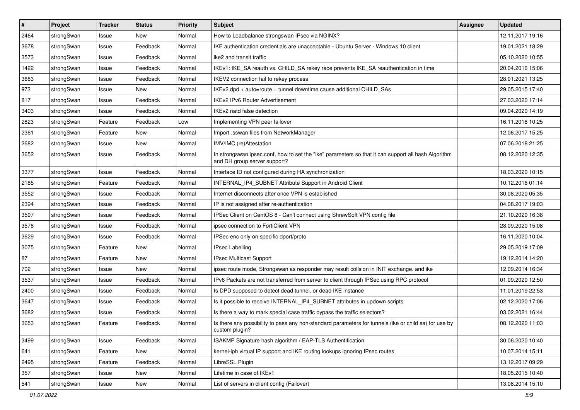| $\sharp$ | Project    | <b>Tracker</b> | <b>Status</b> | <b>Priority</b> | <b>Subject</b>                                                                                                                      | Assignee | <b>Updated</b>   |
|----------|------------|----------------|---------------|-----------------|-------------------------------------------------------------------------------------------------------------------------------------|----------|------------------|
| 2464     | strongSwan | Issue          | New           | Normal          | How to Loadbalance strongswan IPsec via NGINX?                                                                                      |          | 12.11.2017 19:16 |
| 3678     | strongSwan | Issue          | Feedback      | Normal          | IKE authentication credentials are unacceptable - Ubuntu Server - Windows 10 client                                                 |          | 19.01.2021 18:29 |
| 3573     | strongSwan | Issue          | Feedback      | Normal          | ike2 and transit traffic                                                                                                            |          | 05.10.2020 10:55 |
| 1422     | strongSwan | Issue          | Feedback      | Normal          | IKEv1: IKE_SA reauth vs. CHILD_SA rekey race prevents IKE_SA reauthentication in time                                               |          | 20.04.2016 15:06 |
| 3683     | strongSwan | Issue          | Feedback      | Normal          | IKEV2 connection fail to rekey process                                                                                              |          | 28.01.2021 13:25 |
| 973      | strongSwan | Issue          | New           | Normal          | IKEv2 dpd + auto=route + tunnel downtime cause additional CHILD_SAs                                                                 |          | 29.05.2015 17:40 |
| 817      | strongSwan | Issue          | Feedback      | Normal          | <b>IKEv2 IPv6 Router Advertisement</b>                                                                                              |          | 27.03.2020 17:14 |
| 3403     | strongSwan | Issue          | Feedback      | Normal          | IKEv2 natd false detection                                                                                                          |          | 09.04.2020 14:19 |
| 2823     | strongSwan | Feature        | Feedback      | Low             | Implementing VPN peer failover                                                                                                      |          | 16.11.2018 10:25 |
| 2361     | strongSwan | Feature        | New           | Normal          | Import .sswan files from NetworkManager                                                                                             |          | 12.06.2017 15:25 |
| 2682     | strongSwan | Issue          | New           | Normal          | IMV/IMC (re)Attestation                                                                                                             |          | 07.06.2018 21:25 |
| 3652     | strongSwan | Issue          | Feedback      | Normal          | In strongswan ipsec.conf, how to set the "ike" parameters so that it can support all hash Algorithm<br>and DH group server support? |          | 08.12.2020 12:35 |
| 3377     | strongSwan | Issue          | Feedback      | Normal          | Interface ID not configured during HA synchronization                                                                               |          | 18.03.2020 10:15 |
| 2185     | strongSwan | Feature        | Feedback      | Normal          | INTERNAL_IP4_SUBNET Attribute Support in Android Client                                                                             |          | 10.12.2016 01:14 |
| 3552     | strongSwan | Issue          | Feedback      | Normal          | Internet disconnects after once VPN is established                                                                                  |          | 30.08.2020 05:35 |
| 2394     | strongSwan | Issue          | Feedback      | Normal          | IP is not assigned after re-authentication                                                                                          |          | 04.08.2017 19:03 |
| 3597     | strongSwan | Issue          | Feedback      | Normal          | IPSec Client on CentOS 8 - Can't connect using ShrewSoft VPN config file                                                            |          | 21.10.2020 16:38 |
| 3578     | strongSwan | Issue          | Feedback      | Normal          | ipsec connection to FortiClient VPN                                                                                                 |          | 28.09.2020 15:08 |
| 3629     | strongSwan | Issue          | Feedback      | Normal          | IPSec enc only on specific dport/proto                                                                                              |          | 16.11.2020 10:04 |
| 3075     | strongSwan | Feature        | <b>New</b>    | Normal          | <b>IPsec Labelling</b>                                                                                                              |          | 29.05.2019 17:09 |
| 87       | strongSwan | Feature        | New           | Normal          | IPsec Multicast Support                                                                                                             |          | 19.12.2014 14:20 |
| 702      | strongSwan | Issue          | <b>New</b>    | Normal          | ipsec route mode, Strongswan as responder may result collsion in INIT exchange. and ike                                             |          | 12.09.2014 16:34 |
| 3537     | strongSwan | Issue          | Feedback      | Normal          | IPv6 Packets are not transferred from server to client through IPSec using RPC protocol                                             |          | 01.09.2020 12:50 |
| 2400     | strongSwan | Issue          | Feedback      | Normal          | Is DPD supposed to detect dead tunnel, or dead IKE instance                                                                         |          | 11.01.2019 22:53 |
| 3647     | strongSwan | Issue          | Feedback      | Normal          | Is it possible to receive INTERNAL_IP4_SUBNET attributes in updown scripts                                                          |          | 02.12.2020 17:06 |
| 3682     | strongSwan | Issue          | Feedback      | Normal          | Is there a way to mark special case traffic bypass the traffic selectors?                                                           |          | 03.02.2021 16:44 |
| 3653     | strongSwan | Feature        | Feedback      | Normal          | Is there any possibility to pass any non-standard parameters for tunnels (ike or child sa) for use by<br>custom plugin?             |          | 08.12.2020 11:03 |
| 3499     | strongSwan | Issue          | Feedback      | Normal          | ISAKMP Signature hash algorithm / EAP-TLS Authentification                                                                          |          | 30.06.2020 10:40 |
| 641      | strongSwan | Feature        | New           | Normal          | kernel-iph virtual IP support and IKE routing lookups ignoring IPsec routes                                                         |          | 10.07.2014 15:11 |
| 2495     | strongSwan | Feature        | Feedback      | Normal          | LibreSSL Plugin                                                                                                                     |          | 13.12.2017 09:29 |
| 357      | strongSwan | Issue          | New           | Normal          | Lifetime in case of IKEv1                                                                                                           |          | 18.05.2015 10:40 |
| 541      | strongSwan | Issue          | New           | Normal          | List of servers in client config (Failover)                                                                                         |          | 13.08.2014 15:10 |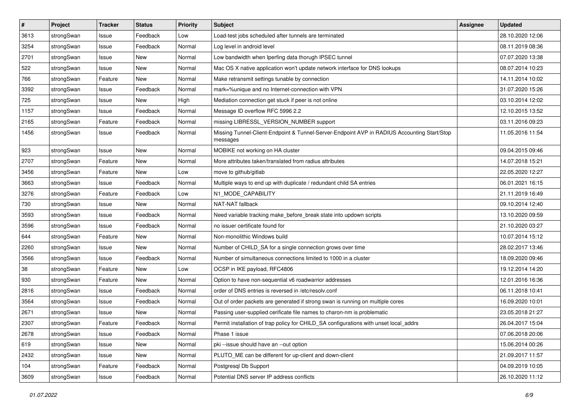| $\vert$ # | Project    | <b>Tracker</b> | <b>Status</b> | <b>Priority</b> | <b>Subject</b>                                                                                          | <b>Assignee</b> | <b>Updated</b>   |
|-----------|------------|----------------|---------------|-----------------|---------------------------------------------------------------------------------------------------------|-----------------|------------------|
| 3613      | strongSwan | Issue          | Feedback      | Low             | Load-test jobs scheduled after tunnels are terminated                                                   |                 | 28.10.2020 12:06 |
| 3254      | strongSwan | Issue          | Feedback      | Normal          | Log level in android level                                                                              |                 | 08.11.2019 08:36 |
| 2701      | strongSwan | Issue          | New           | Normal          | Low bandwidth when Iperfing data thorugh IPSEC tunnel                                                   |                 | 07.07.2020 13:38 |
| 522       | strongSwan | Issue          | New           | Normal          | Mac OS X native application won't update network interface for DNS lookups                              |                 | 08.07.2014 10:23 |
| 766       | strongSwan | Feature        | New           | Normal          | Make retransmit settings tunable by connection                                                          |                 | 14.11.2014 10:02 |
| 3392      | strongSwan | Issue          | Feedback      | Normal          | mark=%unique and no Internet-connection with VPN                                                        |                 | 31.07.2020 15:26 |
| 725       | strongSwan | Issue          | New           | High            | Mediation connection get stuck if peer is not online                                                    |                 | 03.10.2014 12:02 |
| 1157      | strongSwan | Issue          | Feedback      | Normal          | Message ID overflow RFC 5996 2.2                                                                        |                 | 12.10.2015 13:52 |
| 2165      | strongSwan | Feature        | Feedback      | Normal          | missing LIBRESSL_VERSION_NUMBER support                                                                 |                 | 03.11.2016 09:23 |
| 1456      | strongSwan | Issue          | Feedback      | Normal          | Missing Tunnel-Client-Endpoint & Tunnel-Server-Endpoint AVP in RADIUS Accounting Start/Stop<br>messages |                 | 11.05.2016 11:54 |
| 923       | strongSwan | Issue          | New           | Normal          | MOBIKE not working on HA cluster                                                                        |                 | 09.04.2015 09:46 |
| 2707      | strongSwan | Feature        | New           | Normal          | More attributes taken/translated from radius attributes                                                 |                 | 14.07.2018 15:21 |
| 3456      | strongSwan | Feature        | New           | Low             | move to github/gitlab                                                                                   |                 | 22.05.2020 12:27 |
| 3663      | strongSwan | Issue          | Feedback      | Normal          | Multiple ways to end up with duplicate / redundant child SA entries                                     |                 | 06.01.2021 16:15 |
| 3276      | strongSwan | Feature        | Feedback      | Low             | N1_MODE_CAPABILITY                                                                                      |                 | 21.11.2019 16:49 |
| 730       | strongSwan | Issue          | New           | Normal          | NAT-NAT fallback                                                                                        |                 | 09.10.2014 12:40 |
| 3593      | strongSwan | Issue          | Feedback      | Normal          | Need variable tracking make_before_break state into updown scripts                                      |                 | 13.10.2020 09:59 |
| 3596      | strongSwan | lssue          | Feedback      | Normal          | no issuer certificate found for                                                                         |                 | 21.10.2020 03:27 |
| 644       | strongSwan | Feature        | New           | Normal          | Non-monolithic Windows build                                                                            |                 | 10.07.2014 15:12 |
| 2260      | strongSwan | Issue          | New           | Normal          | Number of CHILD_SA for a single connection grows over time                                              |                 | 28.02.2017 13:46 |
| 3566      | strongSwan | Issue          | Feedback      | Normal          | Number of simultaneous connections limited to 1000 in a cluster                                         |                 | 18.09.2020 09:46 |
| 38        | strongSwan | Feature        | New           | Low             | OCSP in IKE payload, RFC4806                                                                            |                 | 19.12.2014 14:20 |
| 930       | strongSwan | Feature        | New           | Normal          | Option to have non-sequential v6 roadwarrior addresses                                                  |                 | 12.01.2016 16:36 |
| 2816      | strongSwan | Issue          | Feedback      | Normal          | order of DNS entries is reversed in /etc/resolv.conf                                                    |                 | 06.11.2018 10:41 |
| 3564      | strongSwan | Issue          | Feedback      | Normal          | Out of order packets are generated if strong swan is running on multiple cores                          |                 | 16.09.2020 10:01 |
| 2671      | strongSwan | Issue          | New           | Normal          | Passing user-supplied cerificate file names to charon-nm is problematic                                 |                 | 23.05.2018 21:27 |
| 2307      | strongSwan | Feature        | Feedback      | Normal          | Permit installation of trap policy for CHILD_SA configurations with unset local_addrs                   |                 | 26.04.2017 15:04 |
| 2678      | strongSwan | Issue          | Feedback      | Normal          | Phase 1 issue                                                                                           |                 | 07.06.2018 20:06 |
| 619       | strongSwan | Issue          | New           | Normal          | pki --issue should have an --out option                                                                 |                 | 15.06.2014 00:26 |
| 2432      | strongSwan | Issue          | New           | Normal          | PLUTO_ME can be different for up-client and down-client                                                 |                 | 21.09.2017 11:57 |
| 104       | strongSwan | Feature        | Feedback      | Normal          | Postgresgl Db Support                                                                                   |                 | 04.09.2019 10:05 |
| 3609      | strongSwan | Issue          | Feedback      | Normal          | Potential DNS server IP address conflicts                                                               |                 | 26.10.2020 11:12 |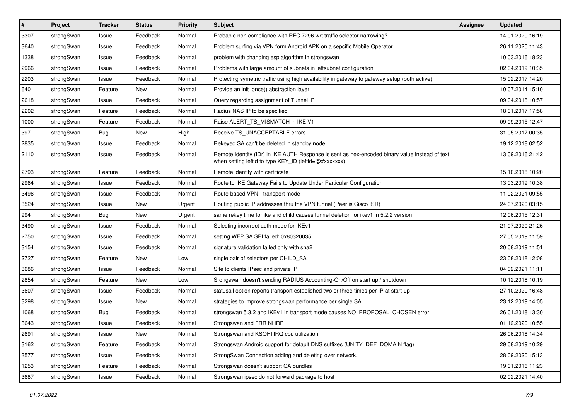| #    | Project    | <b>Tracker</b> | <b>Status</b> | <b>Priority</b> | <b>Subject</b>                                                                                                                                          | <b>Assignee</b> | <b>Updated</b>   |
|------|------------|----------------|---------------|-----------------|---------------------------------------------------------------------------------------------------------------------------------------------------------|-----------------|------------------|
| 3307 | strongSwan | Issue          | Feedback      | Normal          | Probable non compliance with RFC 7296 wrt traffic selector narrowing?                                                                                   |                 | 14.01.2020 16:19 |
| 3640 | strongSwan | Issue          | Feedback      | Normal          | Problem surfing via VPN form Android APK on a sepcific Mobile Operator                                                                                  |                 | 26.11.2020 11:43 |
| 1338 | strongSwan | Issue          | Feedback      | Normal          | problem with changing esp algorithm in strongswan                                                                                                       |                 | 10.03.2016 18:23 |
| 2966 | strongSwan | Issue          | Feedback      | Normal          | Problems with large amount of subnets in leftsubnet configuration                                                                                       |                 | 02.04.2019 10:35 |
| 2203 | strongSwan | Issue          | Feedback      | Normal          | Protecting symetric traffic using high availability in gateway to gateway setup (both active)                                                           |                 | 15.02.2017 14:20 |
| 640  | strongSwan | Feature        | New           | Normal          | Provide an init once() abstraction layer                                                                                                                |                 | 10.07.2014 15:10 |
| 2618 | strongSwan | Issue          | Feedback      | Normal          | Query regarding assignment of Tunnel IP                                                                                                                 |                 | 09.04.2018 10:57 |
| 2202 | strongSwan | Feature        | Feedback      | Normal          | Radius NAS IP to be specified                                                                                                                           |                 | 18.01.2017 17:58 |
| 1000 | strongSwan | Feature        | Feedback      | Normal          | Raise ALERT TS MISMATCH in IKE V1                                                                                                                       |                 | 09.09.2015 12:47 |
| 397  | strongSwan | <b>Bug</b>     | <b>New</b>    | High            | Receive TS_UNACCEPTABLE errors                                                                                                                          |                 | 31.05.2017 00:35 |
| 2835 | strongSwan | Issue          | Feedback      | Normal          | Rekeyed SA can't be deleted in standby node                                                                                                             |                 | 19.12.2018 02:52 |
| 2110 | strongSwan | Issue          | Feedback      | Normal          | Remote Identity (IDr) in IKE AUTH Response is sent as hex-encoded binary value instead of text<br>when setting leftid to type KEY_ID (leftid=@#xxxxxxx) |                 | 13.09.2016 21:42 |
| 2793 | strongSwan | Feature        | Feedback      | Normal          | Remote identity with certificate                                                                                                                        |                 | 15.10.2018 10:20 |
| 2964 | strongSwan | Issue          | Feedback      | Normal          | Route to IKE Gateway Fails to Update Under Particular Configuration                                                                                     |                 | 13.03.2019 10:38 |
| 3496 | strongSwan | Issue          | Feedback      | Normal          | Route-based VPN - transport mode                                                                                                                        |                 | 11.02.2021 09:55 |
| 3524 | strongSwan | Issue          | <b>New</b>    | Urgent          | Routing public IP addresses thru the VPN tunnel (Peer is Cisco ISR)                                                                                     |                 | 24.07.2020 03:15 |
| 994  | strongSwan | <b>Bug</b>     | <b>New</b>    | Urgent          | same rekey time for ike and child causes tunnel deletion for ikev1 in 5.2.2 version                                                                     |                 | 12.06.2015 12:31 |
| 3490 | strongSwan | Issue          | Feedback      | Normal          | Selecting incorrect auth mode for IKEv1                                                                                                                 |                 | 21.07.2020 21:26 |
| 2750 | strongSwan | Issue          | Feedback      | Normal          | setting WFP SA SPI failed: 0x80320035                                                                                                                   |                 | 27.05.2019 11:59 |
| 3154 | strongSwan | Issue          | Feedback      | Normal          | signature validation failed only with sha2                                                                                                              |                 | 20.08.2019 11:51 |
| 2727 | strongSwan | Feature        | New           | Low             | single pair of selectors per CHILD_SA                                                                                                                   |                 | 23.08.2018 12:08 |
| 3686 | strongSwan | Issue          | Feedback      | Normal          | Site to clients IPsec and private IP                                                                                                                    |                 | 04.02.2021 11:11 |
| 2854 | strongSwan | Feature        | <b>New</b>    | Low             | Srongswan doesn't sending RADIUS Accounting-On/Off on start up / shutdown                                                                               |                 | 10.12.2018 10:19 |
| 3607 | strongSwan | Issue          | Feedback      | Normal          | statusall option reports transport established two or three times per IP at start-up                                                                    |                 | 27.10.2020 16:48 |
| 3298 | strongSwan | Issue          | New           | Normal          | strategies to improve strongswan performance per single SA                                                                                              |                 | 23.12.2019 14:05 |
| 1068 | strongSwan | Bug            | Feedback      | Normal          | strongswan 5.3.2 and IKEv1 in transport mode causes NO_PROPOSAL_CHOSEN error                                                                            |                 | 26.01.2018 13:30 |
| 3643 | strongSwan | Issue          | Feedback      | Normal          | Strongswan and FRR NHRP                                                                                                                                 |                 | 01.12.2020 10:55 |
| 2691 | strongSwan | Issue          | New           | Normal          | Strongswan and KSOFTIRQ cpu utilization                                                                                                                 |                 | 26.06.2018 14:34 |
| 3162 | strongSwan | Feature        | Feedback      | Normal          | Strongswan Android support for default DNS suffixes (UNITY_DEF_DOMAIN flag)                                                                             |                 | 29.08.2019 10:29 |
| 3577 | strongSwan | Issue          | Feedback      | Normal          | StrongSwan Connection adding and deleting over network.                                                                                                 |                 | 28.09.2020 15:13 |
| 1253 | strongSwan | Feature        | Feedback      | Normal          | Strongswan doesn't support CA bundles                                                                                                                   |                 | 19.01.2016 11:23 |
| 3687 | strongSwan | Issue          | Feedback      | Normal          | Strongswan ipsec do not forward package to host                                                                                                         |                 | 02.02.2021 14:40 |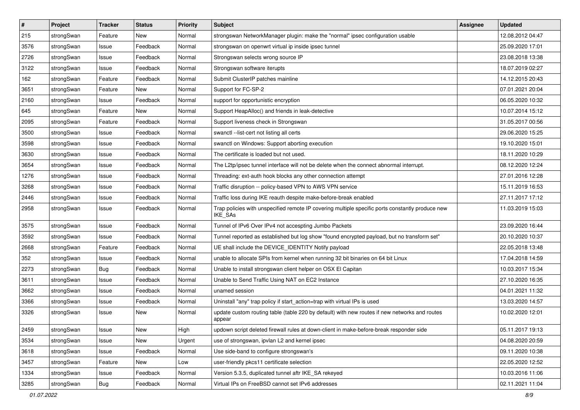| $\vert$ # | Project    | <b>Tracker</b> | <b>Status</b> | <b>Priority</b> | <b>Subject</b>                                                                                              | <b>Assignee</b> | <b>Updated</b>   |
|-----------|------------|----------------|---------------|-----------------|-------------------------------------------------------------------------------------------------------------|-----------------|------------------|
| 215       | strongSwan | Feature        | New           | Normal          | strongswan NetworkManager plugin: make the "normal" ipsec configuration usable                              |                 | 12.08.2012 04:47 |
| 3576      | strongSwan | Issue          | Feedback      | Normal          | strongswan on openwrt virtual ip inside ipsec tunnel                                                        |                 | 25.09.2020 17:01 |
| 2726      | strongSwan | Issue          | Feedback      | Normal          | Strongswan selects wrong source IP                                                                          |                 | 23.08.2018 13:38 |
| 3122      | strongSwan | Issue          | Feedback      | Normal          | Strongswan software iterupts                                                                                |                 | 18.07.2019 02:27 |
| 162       | strongSwan | Feature        | Feedback      | Normal          | Submit ClusterIP patches mainline                                                                           |                 | 14.12.2015 20:43 |
| 3651      | strongSwan | Feature        | New           | Normal          | Support for FC-SP-2                                                                                         |                 | 07.01.2021 20:04 |
| 2160      | strongSwan | Issue          | Feedback      | Normal          | support for opportunistic encryption                                                                        |                 | 06.05.2020 10:32 |
| 645       | strongSwan | Feature        | New           | Normal          | Support HeapAlloc() and friends in leak-detective                                                           |                 | 10.07.2014 15:12 |
| 2095      | strongSwan | Feature        | Feedback      | Normal          | Support liveness check in Strongswan                                                                        |                 | 31.05.2017 00:56 |
| 3500      | strongSwan | Issue          | Feedback      | Normal          | swanctl --list-cert not listing all certs                                                                   |                 | 29.06.2020 15:25 |
| 3598      | strongSwan | Issue          | Feedback      | Normal          | swanctl on Windows: Support aborting execution                                                              |                 | 19.10.2020 15:01 |
| 3630      | strongSwan | Issue          | Feedback      | Normal          | The certificate is loaded but not used.                                                                     |                 | 18.11.2020 10:29 |
| 3654      | strongSwan | Issue          | Feedback      | Normal          | The L2tp/ipsec tunnel interface will not be delete when the connect abnormal interrupt.                     |                 | 08.12.2020 12:24 |
| 1276      | strongSwan | Issue          | Feedback      | Normal          | Threading: ext-auth hook blocks any other connection attempt                                                |                 | 27.01.2016 12:28 |
| 3268      | strongSwan | Issue          | Feedback      | Normal          | Traffic disruption -- policy-based VPN to AWS VPN service                                                   |                 | 15.11.2019 16:53 |
| 2446      | strongSwan | Issue          | Feedback      | Normal          | Traffic loss during IKE reauth despite make-before-break enabled                                            |                 | 27.11.2017 17:12 |
| 2958      | strongSwan | Issue          | Feedback      | Normal          | Trap policies with unspecified remote IP covering multiple specific ports constantly produce new<br>IKE_SAs |                 | 11.03.2019 15:03 |
| 3575      | strongSwan | Issue          | Feedback      | Normal          | Tunnel of IPv6 Over IPv4 not accespting Jumbo Packets                                                       |                 | 23.09.2020 16:44 |
| 3592      | strongSwan | Issue          | Feedback      | Normal          | Tunnel reported as established but log show "found encrypted payload, but no transform set"                 |                 | 20.10.2020 10:37 |
| 2668      | strongSwan | Feature        | Feedback      | Normal          | UE shall include the DEVICE_IDENTITY Notify payload                                                         |                 | 22.05.2018 13:48 |
| 352       | strongSwan | Issue          | Feedback      | Normal          | unable to allocate SPIs from kernel when running 32 bit binaries on 64 bit Linux                            |                 | 17.04.2018 14:59 |
| 2273      | strongSwan | Bug            | Feedback      | Normal          | Unable to install strongswan client helper on OSX El Capitan                                                |                 | 10.03.2017 15:34 |
| 3611      | strongSwan | Issue          | Feedback      | Normal          | Unable to Send Traffic Using NAT on EC2 Instance                                                            |                 | 27.10.2020 16:35 |
| 3662      | strongSwan | Issue          | Feedback      | Normal          | unamed session                                                                                              |                 | 04.01.2021 11:32 |
| 3366      | strongSwan | Issue          | Feedback      | Normal          | Uninstall "any" trap policy if start_action=trap with virtual IPs is used                                   |                 | 13.03.2020 14:57 |
| 3326      | strongSwan | Issue          | New           | Normal          | update custom routing table (table 220 by default) with new routes if new networks and routes<br>appear     |                 | 10.02.2020 12:01 |
| 2459      | strongSwan | Issue          | New           | High            | updown script deleted firewall rules at down-client in make-before-break responder side                     |                 | 05.11.2017 19:13 |
| 3534      | strongSwan | Issue          | New           | Urgent          | use of strongswan, ipvlan L2 and kernel ipsec                                                               |                 | 04.08.2020 20:59 |
| 3618      | strongSwan | Issue          | Feedback      | Normal          | Use side-band to configure strongswan's                                                                     |                 | 09.11.2020 10:38 |
| 3457      | strongSwan | Feature        | New           | Low             | user-friendly pkcs11 certificate selection                                                                  |                 | 22.05.2020 12:52 |
| 1334      | strongSwan | Issue          | Feedback      | Normal          | Version 5.3.5, duplicated tunnel aftr IKE_SA rekeyed                                                        |                 | 10.03.2016 11:06 |
| 3285      | strongSwan | Bug            | Feedback      | Normal          | Virtual IPs on FreeBSD cannot set IPv6 addresses                                                            |                 | 02.11.2021 11:04 |